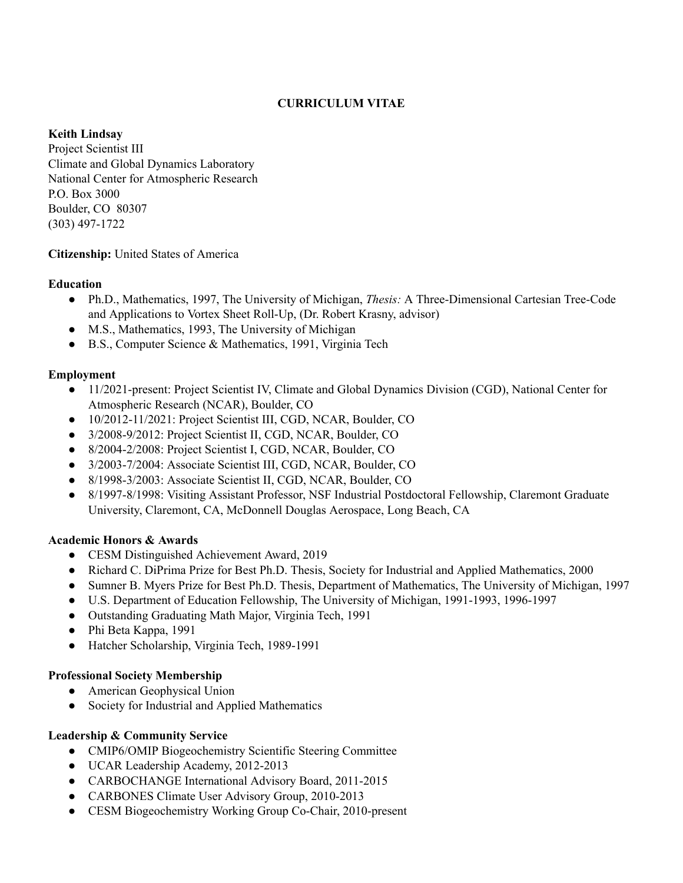# **CURRICULUM VITAE**

#### **Keith Lindsay**

Project Scientist III Climate and Global Dynamics Laboratory National Center for Atmospheric Research P.O. Box 3000 Boulder, CO 80307 (303) 497-1722

## **Citizenship:** United States of America

#### **Education**

- Ph.D., Mathematics, 1997, The University of Michigan, *Thesis:* A Three-Dimensional Cartesian Tree-Code and Applications to Vortex Sheet Roll-Up, (Dr. Robert Krasny, advisor)
- M.S., Mathematics, 1993, The University of Michigan
- B.S., Computer Science & Mathematics, 1991, Virginia Tech

## **Employment**

- 11/2021-present: Project Scientist IV, Climate and Global Dynamics Division (CGD), National Center for Atmospheric Research (NCAR), Boulder, CO
- 10/2012-11/2021: Project Scientist III, CGD, NCAR, Boulder, CO
- 3/2008-9/2012: Project Scientist II, CGD, NCAR, Boulder, CO
- 8/2004-2/2008: Project Scientist I, CGD, NCAR, Boulder, CO
- 3/2003-7/2004: Associate Scientist III, CGD, NCAR, Boulder, CO
- 8/1998-3/2003: Associate Scientist II, CGD, NCAR, Boulder, CO
- 8/1997-8/1998: Visiting Assistant Professor, NSF Industrial Postdoctoral Fellowship, Claremont Graduate University, Claremont, CA, McDonnell Douglas Aerospace, Long Beach, CA

## **Academic Honors & Awards**

- CESM Distinguished Achievement Award, 2019
- Richard C. DiPrima Prize for Best Ph.D. Thesis, Society for Industrial and Applied Mathematics, 2000
- Sumner B. Myers Prize for Best Ph.D. Thesis, Department of Mathematics, The University of Michigan, 1997
- U.S. Department of Education Fellowship, The University of Michigan, 1991-1993, 1996-1997
- Outstanding Graduating Math Major, Virginia Tech, 1991
- Phi Beta Kappa, 1991
- Hatcher Scholarship, Virginia Tech, 1989-1991

## **Professional Society Membership**

- American Geophysical Union
- Society for Industrial and Applied Mathematics

## **Leadership & Community Service**

- CMIP6/OMIP Biogeochemistry Scientific Steering Committee
- UCAR Leadership Academy, 2012-2013
- CARBOCHANGE International Advisory Board, 2011-2015
- CARBONES Climate User Advisory Group, 2010-2013
- CESM Biogeochemistry Working Group Co-Chair, 2010-present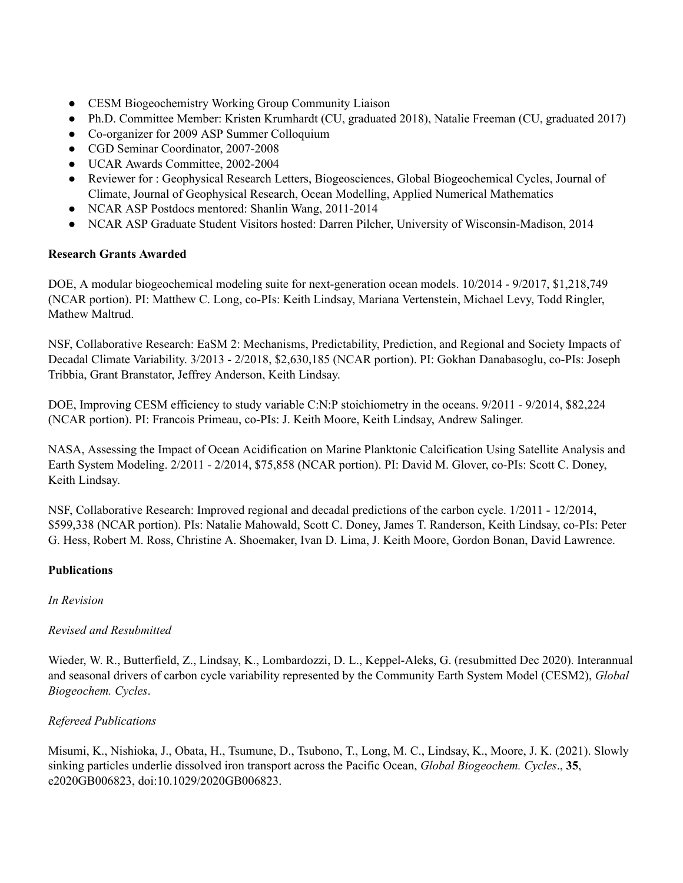- CESM Biogeochemistry Working Group Community Liaison
- Ph.D. Committee Member: Kristen Krumhardt (CU, graduated 2018), Natalie Freeman (CU, graduated 2017)
- Co-organizer for 2009 ASP Summer Colloquium
- CGD Seminar Coordinator, 2007-2008
- UCAR Awards Committee, 2002-2004
- Reviewer for : Geophysical Research Letters, Biogeosciences, Global Biogeochemical Cycles, Journal of Climate, Journal of Geophysical Research, Ocean Modelling, Applied Numerical Mathematics
- NCAR ASP Postdocs mentored: Shanlin Wang, 2011-2014
- NCAR ASP Graduate Student Visitors hosted: Darren Pilcher, University of Wisconsin-Madison, 2014

## **Research Grants Awarded**

DOE, A modular biogeochemical modeling suite for next-generation ocean models. 10/2014 - 9/2017, \$1,218,749 (NCAR portion). PI: Matthew C. Long, co-PIs: Keith Lindsay, Mariana Vertenstein, Michael Levy, Todd Ringler, Mathew Maltrud.

NSF, Collaborative Research: EaSM 2: Mechanisms, Predictability, Prediction, and Regional and Society Impacts of Decadal Climate Variability. 3/2013 - 2/2018, \$2,630,185 (NCAR portion). PI: Gokhan Danabasoglu, co-PIs: Joseph Tribbia, Grant Branstator, Jeffrey Anderson, Keith Lindsay.

DOE, Improving CESM efficiency to study variable C:N:P stoichiometry in the oceans. 9/2011 - 9/2014, \$82,224 (NCAR portion). PI: Francois Primeau, co-PIs: J. Keith Moore, Keith Lindsay, Andrew Salinger.

NASA, Assessing the Impact of Ocean Acidification on Marine Planktonic Calcification Using Satellite Analysis and Earth System Modeling. 2/2011 - 2/2014, \$75,858 (NCAR portion). PI: David M. Glover, co-PIs: Scott C. Doney, Keith Lindsay.

NSF, Collaborative Research: Improved regional and decadal predictions of the carbon cycle. 1/2011 - 12/2014, \$599,338 (NCAR portion). PIs: Natalie Mahowald, Scott C. Doney, James T. Randerson, Keith Lindsay, co-PIs: Peter G. Hess, Robert M. Ross, Christine A. Shoemaker, Ivan D. Lima, J. Keith Moore, Gordon Bonan, David Lawrence.

## **Publications**

## *In Revision*

## *Revised and Resubmitted*

Wieder, W. R., Butterfield, Z., Lindsay, K., Lombardozzi, D. L., Keppel-Aleks, G. (resubmitted Dec 2020). Interannual and seasonal drivers of carbon cycle variability represented by the Community Earth System Model (CESM2), *Global Biogeochem. Cycles*.

## *Refereed Publications*

Misumi, K., Nishioka, J., Obata, H., Tsumune, D., Tsubono, T., Long, M. C., Lindsay, K., Moore, J. K. (2021). Slowly sinking particles underlie dissolved iron transport across the Pacific Ocean, *Global Biogeochem. Cycles*., **35**, e2020GB006823, doi:10.1029/2020GB006823.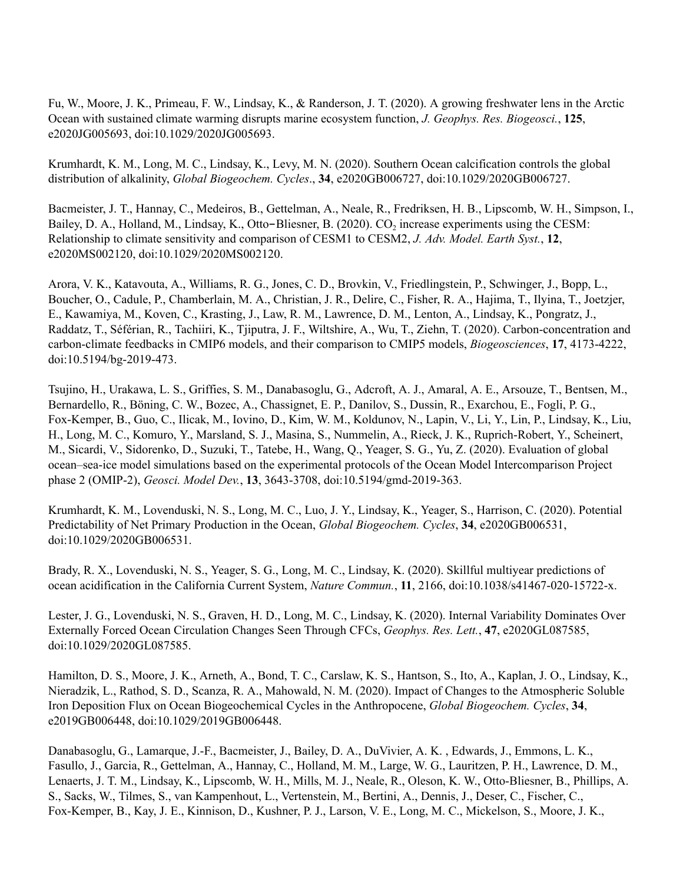Fu, W., Moore, J. K., Primeau, F. W., Lindsay, K., & Randerson, J. T. (2020). A growing freshwater lens in the Arctic Ocean with sustained climate warming disrupts marine ecosystem function, *J. Geophys. Res. Biogeosci.*, **125**, e2020JG005693, doi:10.1029/2020JG005693.

Krumhardt, K. M., Long, M. C., Lindsay, K., Levy, M. N. (2020). Southern Ocean calcification controls the global distribution of alkalinity, *Global Biogeochem. Cycles*., **34**, e2020GB006727, doi:10.1029/2020GB006727.

Bacmeister, J. T., Hannay, C., Medeiros, B., Gettelman, A., Neale, R., Fredriksen, H. B., Lipscomb, W. H., Simpson, I., Bailey, D. A., Holland, M., Lindsay, K., Otto-Bliesner, B. (2020). CO<sub>2</sub> increase experiments using the CESM: Relationship to climate sensitivity and comparison of CESM1 to CESM2, *J. Adv. Model. Earth Syst.*, **12**, e2020MS002120, doi:10.1029/2020MS002120.

Arora, V. K., Katavouta, A., Williams, R. G., Jones, C. D., Brovkin, V., Friedlingstein, P., Schwinger, J., Bopp, L., Boucher, O., Cadule, P., Chamberlain, M. A., Christian, J. R., Delire, C., Fisher, R. A., Hajima, T., Ilyina, T., Joetzjer, E., Kawamiya, M., Koven, C., Krasting, J., Law, R. M., Lawrence, D. M., Lenton, A., Lindsay, K., Pongratz, J., Raddatz, T., Séférian, R., Tachiiri, K., Tjiputra, J. F., Wiltshire, A., Wu, T., Ziehn, T. (2020). Carbon-concentration and carbon-climate feedbacks in CMIP6 models, and their comparison to CMIP5 models, *Biogeosciences*, **17**, 4173-4222, doi:10.5194/bg-2019-473.

Tsujino, H., Urakawa, L. S., Griffies, S. M., Danabasoglu, G., Adcroft, A. J., Amaral, A. E., Arsouze, T., Bentsen, M., Bernardello, R., Böning, C. W., Bozec, A., Chassignet, E. P., Danilov, S., Dussin, R., Exarchou, E., Fogli, P. G., Fox-Kemper, B., Guo, C., Ilicak, M., Iovino, D., Kim, W. M., Koldunov, N., Lapin, V., Li, Y., Lin, P., Lindsay, K., Liu, H., Long, M. C., Komuro, Y., Marsland, S. J., Masina, S., Nummelin, A., Rieck, J. K., Ruprich-Robert, Y., Scheinert, M., Sicardi, V., Sidorenko, D., Suzuki, T., Tatebe, H., Wang, Q., Yeager, S. G., Yu, Z. (2020). Evaluation of global ocean–sea-ice model simulations based on the experimental protocols of the Ocean Model Intercomparison Project phase 2 (OMIP-2), *Geosci. Model Dev.*, **13**, 3643-3708, doi:10.5194/gmd-2019-363.

Krumhardt, K. M., Lovenduski, N. S., Long, M. C., Luo, J. Y., Lindsay, K., Yeager, S., Harrison, C. (2020). Potential Predictability of Net Primary Production in the Ocean, *Global Biogeochem. Cycles*, **34**, e2020GB006531, doi:10.1029/2020GB006531.

Brady, R. X., Lovenduski, N. S., Yeager, S. G., Long, M. C., Lindsay, K. (2020). Skillful multiyear predictions of ocean acidification in the California Current System, *Nature Commun.*, **11**, 2166, doi:10.1038/s41467-020-15722-x.

Lester, J. G., Lovenduski, N. S., Graven, H. D., Long, M. C., Lindsay, K. (2020). Internal Variability Dominates Over Externally Forced Ocean Circulation Changes Seen Through CFCs, *Geophys. Res. Lett.*, **47**, e2020GL087585, doi:10.1029/2020GL087585.

Hamilton, D. S., Moore, J. K., Arneth, A., Bond, T. C., Carslaw, K. S., Hantson, S., Ito, A., Kaplan, J. O., Lindsay, K., Nieradzik, L., Rathod, S. D., Scanza, R. A., Mahowald, N. M. (2020). Impact of Changes to the Atmospheric Soluble Iron Deposition Flux on Ocean Biogeochemical Cycles in the Anthropocene, *Global Biogeochem. Cycles*, **34**, e2019GB006448, doi:10.1029/2019GB006448.

Danabasoglu, G., Lamarque, J.-F., Bacmeister, J., Bailey, D. A., DuVivier, A. K. , Edwards, J., Emmons, L. K., Fasullo, J., Garcia, R., Gettelman, A., Hannay, C., Holland, M. M., Large, W. G., Lauritzen, P. H., Lawrence, D. M., Lenaerts, J. T. M., Lindsay, K., Lipscomb, W. H., Mills, M. J., Neale, R., Oleson, K. W., Otto-Bliesner, B., Phillips, A. S., Sacks, W., Tilmes, S., van Kampenhout, L., Vertenstein, M., Bertini, A., Dennis, J., Deser, C., Fischer, C., Fox-Kemper, B., Kay, J. E., Kinnison, D., Kushner, P. J., Larson, V. E., Long, M. C., Mickelson, S., Moore, J. K.,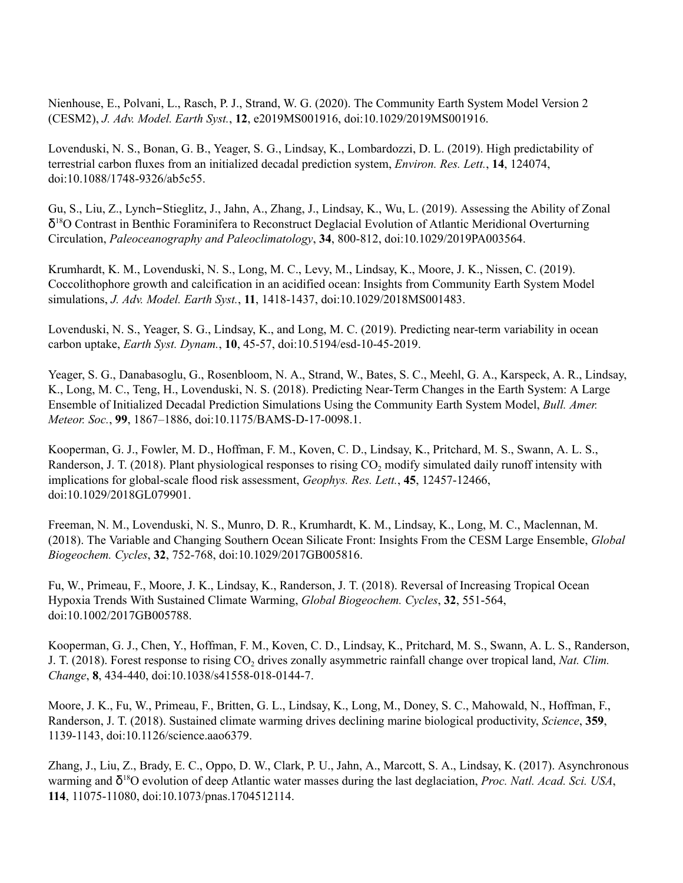Nienhouse, E., Polvani, L., Rasch, P. J., Strand, W. G. (2020). The Community Earth System Model Version 2 (CESM2), *J. Adv. Model. Earth Syst.*, **12**, e2019MS001916, doi:10.1029/2019MS001916.

Lovenduski, N. S., Bonan, G. B., Yeager, S. G., Lindsay, K., Lombardozzi, D. L. (2019). High predictability of terrestrial carbon fluxes from an initialized decadal prediction system, *Environ. Res. Lett.*, **14**, 124074, doi:10.1088/1748-9326/ab5c55.

Gu, S., Liu, Z., Lynch-Stieglitz, J., Jahn, A., Zhang, J., Lindsay, K., Wu, L. (2019). Assessing the Ability of Zonal δ <sup>18</sup>O Contrast in Benthic Foraminifera to Reconstruct Deglacial Evolution of Atlantic Meridional Overturning Circulation, *Paleoceanography and Paleoclimatology*, **34**, 800-812, doi:10.1029/2019PA003564.

Krumhardt, K. M., Lovenduski, N. S., Long, M. C., Levy, M., Lindsay, K., Moore, J. K., Nissen, C. (2019). Coccolithophore growth and calcification in an acidified ocean: Insights from Community Earth System Model simulations, *J. Adv. Model. Earth Syst.*, **11**, 1418-1437, doi:10.1029/2018MS001483.

Lovenduski, N. S., Yeager, S. G., Lindsay, K., and Long, M. C. (2019). Predicting near-term variability in ocean carbon uptake, *Earth Syst. Dynam.*, **10**, 45-57, doi:10.5194/esd-10-45-2019.

Yeager, S. G., Danabasoglu, G., Rosenbloom, N. A., Strand, W., Bates, S. C., Meehl, G. A., Karspeck, A. R., Lindsay, K., Long, M. C., Teng, H., Lovenduski, N. S. (2018). Predicting Near-Term Changes in the Earth System: A Large Ensemble of Initialized Decadal Prediction Simulations Using the Community Earth System Model, *Bull. Amer. Meteor. Soc.*, **99**, 1867–1886, doi:10.1175/BAMS-D-17-0098.1.

Kooperman, G. J., Fowler, M. D., Hoffman, F. M., Koven, C. D., Lindsay, K., Pritchard, M. S., Swann, A. L. S., Randerson, J. T. (2018). Plant physiological responses to rising CO<sub>2</sub> modify simulated daily runoff intensity with implications for global-scale flood risk assessment, *Geophys. Res. Lett.*, **45**, 12457-12466, doi:10.1029/2018GL079901.

Freeman, N. M., Lovenduski, N. S., Munro, D. R., Krumhardt, K. M., Lindsay, K., Long, M. C., Maclennan, M. (2018). The Variable and Changing Southern Ocean Silicate Front: Insights From the CESM Large Ensemble, *Global Biogeochem. Cycles*, **32**, 752-768, doi:10.1029/2017GB005816.

Fu, W., Primeau, F., Moore, J. K., Lindsay, K., Randerson, J. T. (2018). Reversal of Increasing Tropical Ocean Hypoxia Trends With Sustained Climate Warming, *Global Biogeochem. Cycles*, **32**, 551-564, doi:10.1002/2017GB005788.

Kooperman, G. J., Chen, Y., Hoffman, F. M., Koven, C. D., Lindsay, K., Pritchard, M. S., Swann, A. L. S., Randerson, J. T. (2018). Forest response to rising CO<sub>2</sub> drives zonally asymmetric rainfall change over tropical land, *Nat. Clim. Change*, **8**, 434-440, doi:10.1038/s41558-018-0144-7.

Moore, J. K., Fu, W., Primeau, F., Britten, G. L., Lindsay, K., Long, M., Doney, S. C., Mahowald, N., Hoffman, F., Randerson, J. T. (2018). Sustained climate warming drives declining marine biological productivity, *Science*, **359**, 1139-1143, doi:10.1126/science.aao6379.

Zhang, J., Liu, Z., Brady, E. C., Oppo, D. W., Clark, P. U., Jahn, A., Marcott, S. A., Lindsay, K. (2017). Asynchronous warming and δ <sup>18</sup>O evolution of deep Atlantic water masses during the last deglaciation, *Proc. Natl. Acad. Sci. USA*, **114**, 11075-11080, doi:10.1073/pnas.1704512114.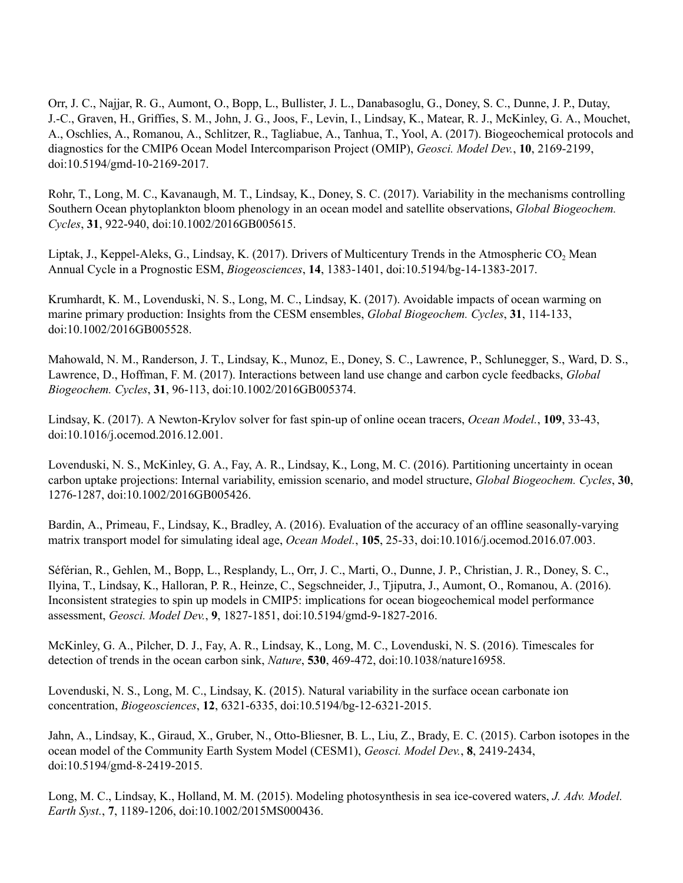Orr, J. C., Najjar, R. G., Aumont, O., Bopp, L., Bullister, J. L., Danabasoglu, G., Doney, S. C., Dunne, J. P., Dutay, J.-C., Graven, H., Griffies, S. M., John, J. G., Joos, F., Levin, I., Lindsay, K., Matear, R. J., McKinley, G. A., Mouchet, A., Oschlies, A., Romanou, A., Schlitzer, R., Tagliabue, A., Tanhua, T., Yool, A. (2017). Biogeochemical protocols and diagnostics for the CMIP6 Ocean Model Intercomparison Project (OMIP), *Geosci. Model Dev.*, **10**, 2169-2199, doi:10.5194/gmd-10-2169-2017.

Rohr, T., Long, M. C., Kavanaugh, M. T., Lindsay, K., Doney, S. C. (2017). Variability in the mechanisms controlling Southern Ocean phytoplankton bloom phenology in an ocean model and satellite observations, *Global Biogeochem. Cycles*, **31**, 922-940, doi:10.1002/2016GB005615.

Liptak, J., Keppel-Aleks, G., Lindsay, K. (2017). Drivers of Multicentury Trends in the Atmospheric  $CO<sub>2</sub>$  Mean Annual Cycle in a Prognostic ESM, *Biogeosciences*, **14**, 1383-1401, doi:10.5194/bg-14-1383-2017.

Krumhardt, K. M., Lovenduski, N. S., Long, M. C., Lindsay, K. (2017). Avoidable impacts of ocean warming on marine primary production: Insights from the CESM ensembles, *Global Biogeochem. Cycles*, **31**, 114-133, doi:10.1002/2016GB005528.

Mahowald, N. M., Randerson, J. T., Lindsay, K., Munoz, E., Doney, S. C., Lawrence, P., Schlunegger, S., Ward, D. S., Lawrence, D., Hoffman, F. M. (2017). Interactions between land use change and carbon cycle feedbacks, *Global Biogeochem. Cycles*, **31**, 96-113, doi:10.1002/2016GB005374.

Lindsay, K. (2017). A Newton-Krylov solver for fast spin-up of online ocean tracers, *Ocean Model.*, **109**, 33-43, doi:10.1016/j.ocemod.2016.12.001.

Lovenduski, N. S., McKinley, G. A., Fay, A. R., Lindsay, K., Long, M. C. (2016). Partitioning uncertainty in ocean carbon uptake projections: Internal variability, emission scenario, and model structure, *Global Biogeochem. Cycles*, **30**, 1276-1287, doi:10.1002/2016GB005426.

Bardin, A., Primeau, F., Lindsay, K., Bradley, A. (2016). Evaluation of the accuracy of an offline seasonally-varying matrix transport model for simulating ideal age, *Ocean Model.*, **105**, 25-33, doi:10.1016/j.ocemod.2016.07.003.

Séférian, R., Gehlen, M., Bopp, L., Resplandy, L., Orr, J. C., Marti, O., Dunne, J. P., Christian, J. R., Doney, S. C., Ilyina, T., Lindsay, K., Halloran, P. R., Heinze, C., Segschneider, J., Tjiputra, J., Aumont, O., Romanou, A. (2016). Inconsistent strategies to spin up models in CMIP5: implications for ocean biogeochemical model performance assessment, *Geosci. Model Dev.*, **9**, 1827-1851, doi:10.5194/gmd-9-1827-2016.

McKinley, G. A., Pilcher, D. J., Fay, A. R., Lindsay, K., Long, M. C., Lovenduski, N. S. (2016). Timescales for detection of trends in the ocean carbon sink, *Nature*, **530**, 469-472, doi:10.1038/nature16958.

Lovenduski, N. S., Long, M. C., Lindsay, K. (2015). Natural variability in the surface ocean carbonate ion concentration, *Biogeosciences*, **12**, 6321-6335, doi:10.5194/bg-12-6321-2015.

Jahn, A., Lindsay, K., Giraud, X., Gruber, N., Otto-Bliesner, B. L., Liu, Z., Brady, E. C. (2015). Carbon isotopes in the ocean model of the Community Earth System Model (CESM1), *Geosci. Model Dev.*, **8**, 2419-2434, doi:10.5194/gmd-8-2419-2015.

Long, M. C., Lindsay, K., Holland, M. M. (2015). Modeling photosynthesis in sea ice-covered waters, *J. Adv. Model. Earth Syst.*, **7**, 1189-1206, doi:10.1002/2015MS000436.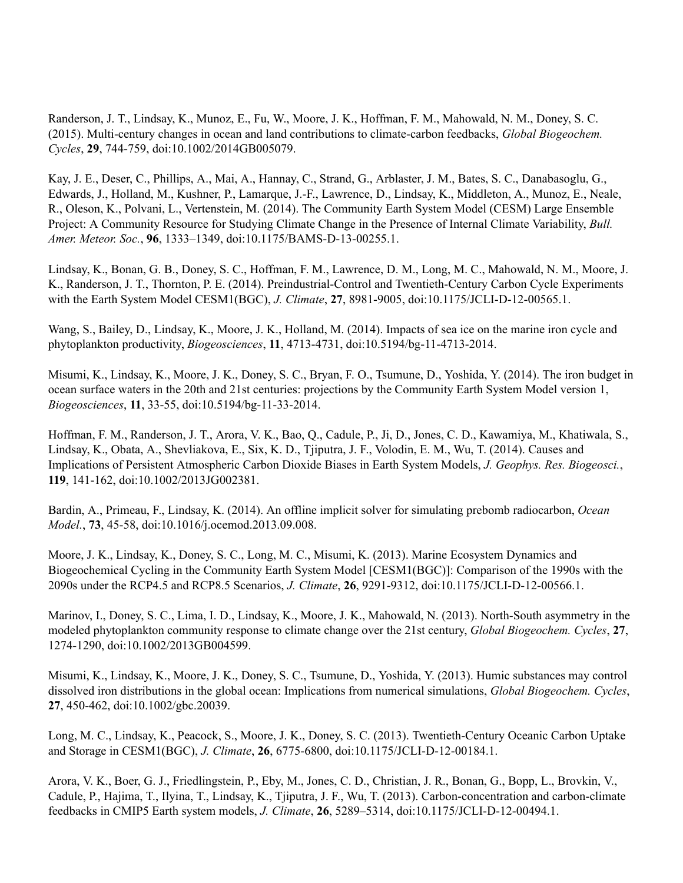Randerson, J. T., Lindsay, K., Munoz, E., Fu, W., Moore, J. K., Hoffman, F. M., Mahowald, N. M., Doney, S. C. (2015). Multi-century changes in ocean and land contributions to climate-carbon feedbacks, *Global Biogeochem. Cycles*, **29**, 744-759, doi:10.1002/2014GB005079.

Kay, J. E., Deser, C., Phillips, A., Mai, A., Hannay, C., Strand, G., Arblaster, J. M., Bates, S. C., Danabasoglu, G., Edwards, J., Holland, M., Kushner, P., Lamarque, J.-F., Lawrence, D., Lindsay, K., Middleton, A., Munoz, E., Neale, R., Oleson, K., Polvani, L., Vertenstein, M. (2014). The Community Earth System Model (CESM) Large Ensemble Project: A Community Resource for Studying Climate Change in the Presence of Internal Climate Variability, *Bull. Amer. Meteor. Soc.*, **96**, 1333–1349, doi:10.1175/BAMS-D-13-00255.1.

Lindsay, K., Bonan, G. B., Doney, S. C., Hoffman, F. M., Lawrence, D. M., Long, M. C., Mahowald, N. M., Moore, J. K., Randerson, J. T., Thornton, P. E. (2014). Preindustrial-Control and Twentieth-Century Carbon Cycle Experiments with the Earth System Model CESM1(BGC), *J. Climate*, **27**, 8981-9005, doi:10.1175/JCLI-D-12-00565.1.

Wang, S., Bailey, D., Lindsay, K., Moore, J. K., Holland, M. (2014). Impacts of sea ice on the marine iron cycle and phytoplankton productivity, *Biogeosciences*, **11**, 4713-4731, doi:10.5194/bg-11-4713-2014.

Misumi, K., Lindsay, K., Moore, J. K., Doney, S. C., Bryan, F. O., Tsumune, D., Yoshida, Y. (2014). The iron budget in ocean surface waters in the 20th and 21st centuries: projections by the Community Earth System Model version 1, *Biogeosciences*, **11**, 33-55, doi:10.5194/bg-11-33-2014.

Hoffman, F. M., Randerson, J. T., Arora, V. K., Bao, Q., Cadule, P., Ji, D., Jones, C. D., Kawamiya, M., Khatiwala, S., Lindsay, K., Obata, A., Shevliakova, E., Six, K. D., Tjiputra, J. F., Volodin, E. M., Wu, T. (2014). Causes and Implications of Persistent Atmospheric Carbon Dioxide Biases in Earth System Models, *J. Geophys. Res. Biogeosci.*, **119**, 141-162, doi:10.1002/2013JG002381.

Bardin, A., Primeau, F., Lindsay, K. (2014). An offline implicit solver for simulating prebomb radiocarbon, *Ocean Model.*, **73**, 45-58, doi:10.1016/j.ocemod.2013.09.008.

Moore, J. K., Lindsay, K., Doney, S. C., Long, M. C., Misumi, K. (2013). Marine Ecosystem Dynamics and Biogeochemical Cycling in the Community Earth System Model [CESM1(BGC)]: Comparison of the 1990s with the 2090s under the RCP4.5 and RCP8.5 Scenarios, *J. Climate*, **26**, 9291-9312, doi:10.1175/JCLI-D-12-00566.1.

Marinov, I., Doney, S. C., Lima, I. D., Lindsay, K., Moore, J. K., Mahowald, N. (2013). North-South asymmetry in the modeled phytoplankton community response to climate change over the 21st century, *Global Biogeochem. Cycles*, **27**, 1274-1290, doi:10.1002/2013GB004599.

Misumi, K., Lindsay, K., Moore, J. K., Doney, S. C., Tsumune, D., Yoshida, Y. (2013). Humic substances may control dissolved iron distributions in the global ocean: Implications from numerical simulations, *Global Biogeochem. Cycles*, **27**, 450-462, doi:10.1002/gbc.20039.

Long, M. C., Lindsay, K., Peacock, S., Moore, J. K., Doney, S. C. (2013). Twentieth-Century Oceanic Carbon Uptake and Storage in CESM1(BGC), *J. Climate*, **26**, 6775-6800, doi:10.1175/JCLI-D-12-00184.1.

Arora, V. K., Boer, G. J., Friedlingstein, P., Eby, M., Jones, C. D., Christian, J. R., Bonan, G., Bopp, L., Brovkin, V., Cadule, P., Hajima, T., Ilyina, T., Lindsay, K., Tjiputra, J. F., Wu, T. (2013). Carbon-concentration and carbon-climate feedbacks in CMIP5 Earth system models, *J. Climate*, **26**, 5289–5314, doi:10.1175/JCLI-D-12-00494.1.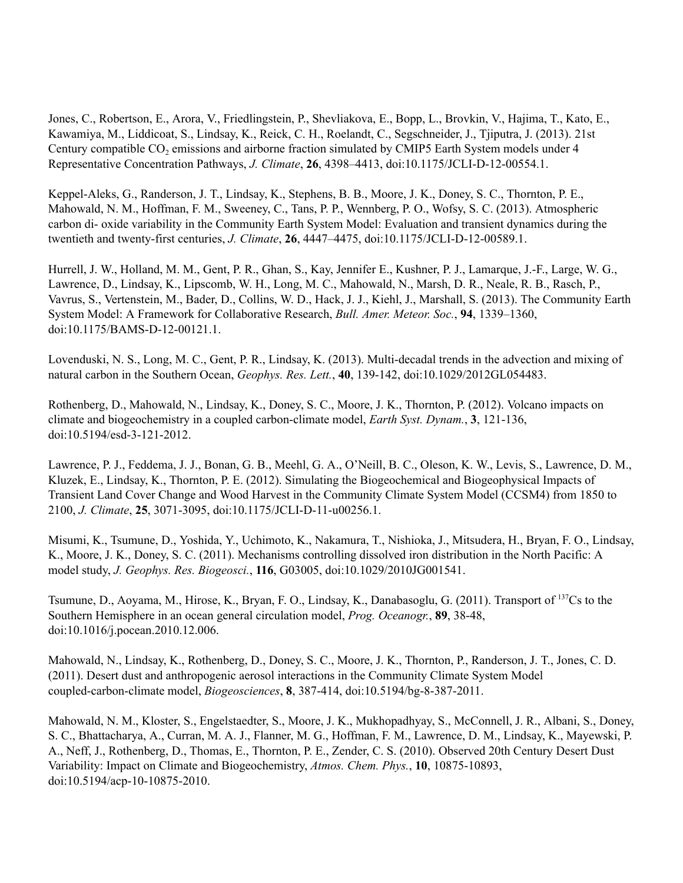Jones, C., Robertson, E., Arora, V., Friedlingstein, P., Shevliakova, E., Bopp, L., Brovkin, V., Hajima, T., Kato, E., Kawamiya, M., Liddicoat, S., Lindsay, K., Reick, C. H., Roelandt, C., Segschneider, J., Tjiputra, J. (2013). 21st Century compatible CO<sub>2</sub> emissions and airborne fraction simulated by CMIP5 Earth System models under 4 Representative Concentration Pathways, *J. Climate*, **26**, 4398–4413, doi:10.1175/JCLI-D-12-00554.1.

Keppel-Aleks, G., Randerson, J. T., Lindsay, K., Stephens, B. B., Moore, J. K., Doney, S. C., Thornton, P. E., Mahowald, N. M., Hoffman, F. M., Sweeney, C., Tans, P. P., Wennberg, P. O., Wofsy, S. C. (2013). Atmospheric carbon di- oxide variability in the Community Earth System Model: Evaluation and transient dynamics during the twentieth and twenty-first centuries, *J. Climate*, **26**, 4447–4475, doi:10.1175/JCLI-D-12-00589.1.

Hurrell, J. W., Holland, M. M., Gent, P. R., Ghan, S., Kay, Jennifer E., Kushner, P. J., Lamarque, J.-F., Large, W. G., Lawrence, D., Lindsay, K., Lipscomb, W. H., Long, M. C., Mahowald, N., Marsh, D. R., Neale, R. B., Rasch, P., Vavrus, S., Vertenstein, M., Bader, D., Collins, W. D., Hack, J. J., Kiehl, J., Marshall, S. (2013). The Community Earth System Model: A Framework for Collaborative Research, *Bull. Amer. Meteor. Soc.*, **94**, 1339–1360, doi:10.1175/BAMS-D-12-00121.1.

Lovenduski, N. S., Long, M. C., Gent, P. R., Lindsay, K. (2013). Multi-decadal trends in the advection and mixing of natural carbon in the Southern Ocean, *Geophys. Res. Lett.*, **40**, 139-142, doi:10.1029/2012GL054483.

Rothenberg, D., Mahowald, N., Lindsay, K., Doney, S. C., Moore, J. K., Thornton, P. (2012). Volcano impacts on climate and biogeochemistry in a coupled carbon-climate model, *Earth Syst. Dynam.*, **3**, 121-136, doi:10.5194/esd-3-121-2012.

Lawrence, P. J., Feddema, J. J., Bonan, G. B., Meehl, G. A., O'Neill, B. C., Oleson, K. W., Levis, S., Lawrence, D. M., Kluzek, E., Lindsay, K., Thornton, P. E. (2012). Simulating the Biogeochemical and Biogeophysical Impacts of Transient Land Cover Change and Wood Harvest in the Community Climate System Model (CCSM4) from 1850 to 2100, *J. Climate*, **25**, 3071-3095, doi:10.1175/JCLI-D-11-u00256.1.

Misumi, K., Tsumune, D., Yoshida, Y., Uchimoto, K., Nakamura, T., Nishioka, J., Mitsudera, H., Bryan, F. O., Lindsay, K., Moore, J. K., Doney, S. C. (2011). Mechanisms controlling dissolved iron distribution in the North Pacific: A model study, *J. Geophys. Res. Biogeosci.*, **116**, G03005, doi:10.1029/2010JG001541.

Tsumune, D., Aoyama, M., Hirose, K., Bryan, F. O., Lindsay, K., Danabasoglu, G. (2011). Transport of <sup>137</sup>Cs to the Southern Hemisphere in an ocean general circulation model, *Prog. Oceanogr.*, **89**, 38-48, doi:10.1016/j.pocean.2010.12.006.

Mahowald, N., Lindsay, K., Rothenberg, D., Doney, S. C., Moore, J. K., Thornton, P., Randerson, J. T., Jones, C. D. (2011). Desert dust and anthropogenic aerosol interactions in the Community Climate System Model coupled-carbon-climate model, *Biogeosciences*, **8**, 387-414, doi:10.5194/bg-8-387-2011.

Mahowald, N. M., Kloster, S., Engelstaedter, S., Moore, J. K., Mukhopadhyay, S., McConnell, J. R., Albani, S., Doney, S. C., Bhattacharya, A., Curran, M. A. J., Flanner, M. G., Hoffman, F. M., Lawrence, D. M., Lindsay, K., Mayewski, P. A., Neff, J., Rothenberg, D., Thomas, E., Thornton, P. E., Zender, C. S. (2010). Observed 20th Century Desert Dust Variability: Impact on Climate and Biogeochemistry, *Atmos. Chem. Phys.*, **10**, 10875-10893, doi:10.5194/acp-10-10875-2010.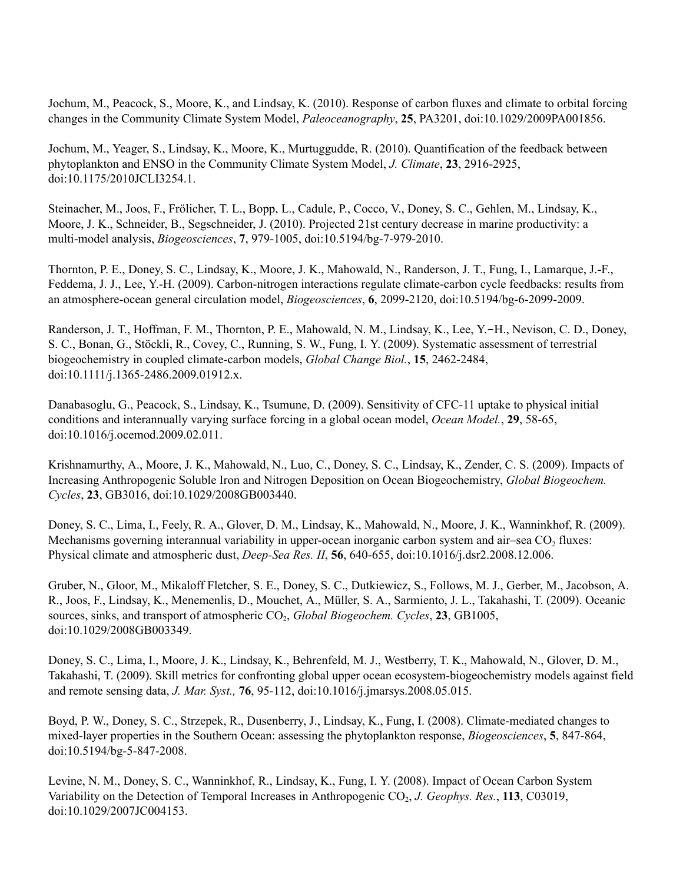Jochum, M., Peacock, S., Moore, K., and Lindsay, K. (2010). Response of carbon fluxes and climate to orbital forcing changes in the Community Climate System Model, *Paleoceanography*, **25**, PA3201, doi:10.1029/2009PA001856.

Jochum, M., Yeager, S., Lindsay, K., Moore, K., Murtuggudde, R. (2010). Quantification of the feedback between phytoplankton and ENSO in the Community Climate System Model, *J. Climate*, **23**, 2916-2925, doi:10.1175/2010JCLI3254.1.

Steinacher, M., Joos, F., Frölicher, T. L., Bopp, L., Cadule, P., Cocco, V., Doney, S. C., Gehlen, M., Lindsay, K., Moore, J. K., Schneider, B., Segschneider, J. (2010). Projected 21st century decrease in marine productivity: a multi-model analysis, *Biogeosciences*, **7**, 979-1005, doi:10.5194/bg-7-979-2010.

Thornton, P. E., Doney, S. C., Lindsay, K., Moore, J. K., Mahowald, N., Randerson, J. T., Fung, I., Lamarque, J.-F., Feddema, J. J., Lee, Y.-H. (2009). Carbon-nitrogen interactions regulate climate-carbon cycle feedbacks: results from an atmosphere-ocean general circulation model, *Biogeosciences*, **6**, 2099-2120, doi:10.5194/bg-6-2099-2009.

Randerson, J. T., Hoffman, F. M., Thornton, P. E., Mahowald, N. M., Lindsay, K., Lee, Y.-H., Nevison, C. D., Doney, S. C., Bonan, G., Stöckli, R., Covey, C., Running, S. W., Fung, I. Y. (2009). Systematic assessment of terrestrial biogeochemistry in coupled climate-carbon models, *Global Change Biol.*, **15**, 2462-2484, doi:10.1111/j.1365-2486.2009.01912.x.

Danabasoglu, G., Peacock, S., Lindsay, K., Tsumune, D. (2009). Sensitivity of CFC-11 uptake to physical initial conditions and interannually varying surface forcing in a global ocean model, *Ocean Model.*, **29**, 58-65, doi:10.1016/j.ocemod.2009.02.011.

Krishnamurthy, A., Moore, J. K., Mahowald, N., Luo, C., Doney, S. C., Lindsay, K., Zender, C. S. (2009). Impacts of Increasing Anthropogenic Soluble Iron and Nitrogen Deposition on Ocean Biogeochemistry, *Global Biogeochem. Cycles*, **23**, GB3016, doi:10.1029/2008GB003440.

Doney, S. C., Lima, I., Feely, R. A., Glover, D. M., Lindsay, K., Mahowald, N., Moore, J. K., Wanninkhof, R. (2009). Mechanisms governing interannual variability in upper-ocean inorganic carbon system and air–sea CO<sub>2</sub> fluxes: Physical climate and atmospheric dust, *Deep-Sea Res. II*, **56**, 640-655, doi:10.1016/j.dsr2.2008.12.006.

Gruber, N., Gloor, M., Mikaloff Fletcher, S. E., Doney, S. C., Dutkiewicz, S., Follows, M. J., Gerber, M., Jacobson, A. R., Joos, F., Lindsay, K., Menemenlis, D., Mouchet, A., Müller, S. A., Sarmiento, J. L., Takahashi, T. (2009). Oceanic sources, sinks, and transport of atmospheric CO<sub>2</sub>, *Global Biogeochem. Cycles*, **23**, *GB1005*, doi:10.1029/2008GB003349.

Doney, S. C., Lima, I., Moore, J. K., Lindsay, K., Behrenfeld, M. J., Westberry, T. K., Mahowald, N., Glover, D. M., Takahashi, T. (2009). Skill metrics for confronting global upper ocean ecosystem-biogeochemistry models against field and remote sensing data, *J. Mar. Syst.,* **76**, 95-112, doi:10.1016/j.jmarsys.2008.05.015.

Boyd, P. W., Doney, S. C., Strzepek, R., Dusenberry, J., Lindsay, K., Fung, I. (2008). Climate-mediated changes to mixed-layer properties in the Southern Ocean: assessing the phytoplankton response, *Biogeosciences*, **5**, 847-864, doi:10.5194/bg-5-847-2008.

Levine, N. M., Doney, S. C., Wanninkhof, R., Lindsay, K., Fung, I. Y. (2008). Impact of Ocean Carbon System Variability on the Detection of Temporal Increases in Anthropogenic CO<sub>2</sub>, *J. Geophys. Res.*, 113, C03019, doi:10.1029/2007JC004153.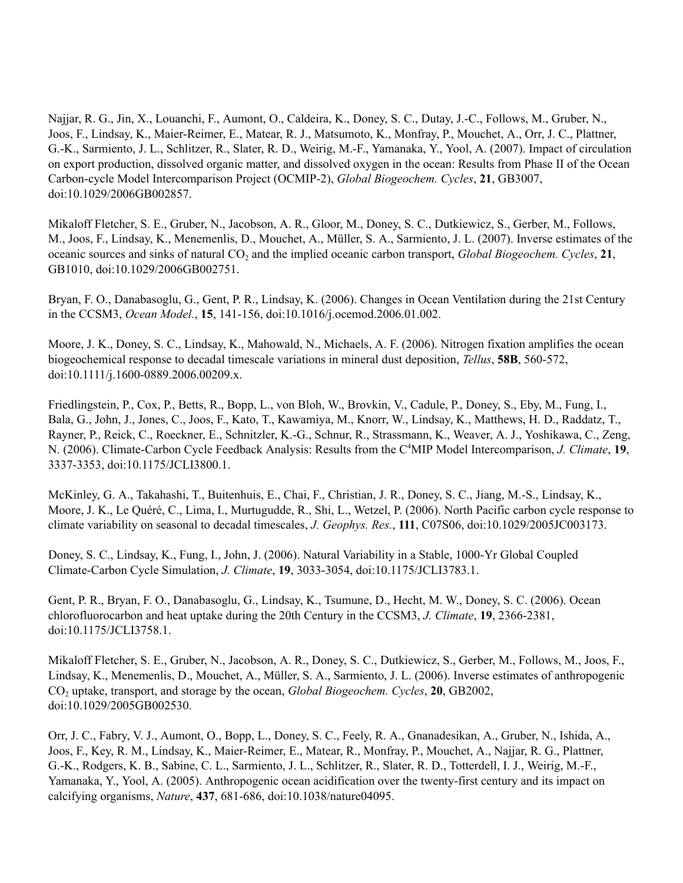Najjar, R. G., Jin, X., Louanchi, F., Aumont, O., Caldeira, K., Doney, S. C., Dutay, J.-C., Follows, M., Gruber, N., Joos, F., Lindsay, K., Maier-Reimer, E., Matear, R. J., Matsumoto, K., Monfray, P., Mouchet, A., Orr, J. C., Plattner, G.-K., Sarmiento, J. L., Schlitzer, R., Slater, R. D., Weirig, M.-F., Yamanaka, Y., Yool, A. (2007). Impact of circulation on export production, dissolved organic matter, and dissolved oxygen in the ocean: Results from Phase II of the Ocean Carbon-cycle Model Intercomparison Project (OCMIP-2), *Global Biogeochem. Cycles*, **21**, GB3007, doi:10.1029/2006GB002857.

Mikaloff Fletcher, S. E., Gruber, N., Jacobson, A. R., Gloor, M., Doney, S. C., Dutkiewicz, S., Gerber, M., Follows, M., Joos, F., Lindsay, K., Menemenlis, D., Mouchet, A., Müller, S. A., Sarmiento, J. L. (2007). Inverse estimates of the oceanic sources and sinks of natural CO<sup>2</sup> and the implied oceanic carbon transport, *Global Biogeochem. Cycles*, **21**, GB1010, doi:10.1029/2006GB002751.

Bryan, F. O., Danabasoglu, G., Gent, P. R., Lindsay, K. (2006). Changes in Ocean Ventilation during the 21st Century in the CCSM3, *Ocean Model.*, **15**, 141-156, doi:10.1016/j.ocemod.2006.01.002.

Moore, J. K., Doney, S. C., Lindsay, K., Mahowald, N., Michaels, A. F. (2006). Nitrogen fixation amplifies the ocean biogeochemical response to decadal timescale variations in mineral dust deposition, *Tellus*, **58B**, 560-572, doi:10.1111/j.1600-0889.2006.00209.x.

Friedlingstein, P., Cox, P., Betts, R., Bopp, L., von Bloh, W., Brovkin, V., Cadule, P., Doney, S., Eby, M., Fung, I., Bala, G., John, J., Jones, C., Joos, F., Kato, T., Kawamiya, M., Knorr, W., Lindsay, K., Matthews, H. D., Raddatz, T., Rayner, P., Reick, C., Roeckner, E., Schnitzler, K.-G., Schnur, R., Strassmann, K., Weaver, A. J., Yoshikawa, C., Zeng, N. (2006). Climate-Carbon Cycle Feedback Analysis: Results from the C <sup>4</sup>MIP Model Intercomparison, *J. Climate*, **19**, 3337-3353, doi:10.1175/JCLI3800.1.

McKinley, G. A., Takahashi, T., Buitenhuis, E., Chai, F., Christian, J. R., Doney, S. C., Jiang, M.-S., Lindsay, K., Moore, J. K., Le Quéré, C., Lima, I., Murtugudde, R., Shi, L., Wetzel, P. (2006). North Pacific carbon cycle response to climate variability on seasonal to decadal timescales, *J. Geophys. Res.*, **111**, C07S06, doi:10.1029/2005JC003173.

Doney, S. C., Lindsay, K., Fung, I., John, J. (2006). Natural Variability in a Stable, 1000-Yr Global Coupled Climate-Carbon Cycle Simulation, *J. Climate*, **19**, 3033-3054, doi:10.1175/JCLI3783.1.

Gent, P. R., Bryan, F. O., Danabasoglu, G., Lindsay, K., Tsumune, D., Hecht, M. W., Doney, S. C. (2006). Ocean chlorofluorocarbon and heat uptake during the 20th Century in the CCSM3, *J. Climate*, **19**, 2366-2381, doi:10.1175/JCLI3758.1.

Mikaloff Fletcher, S. E., Gruber, N., Jacobson, A. R., Doney, S. C., Dutkiewicz, S., Gerber, M., Follows, M., Joos, F., Lindsay, K., Menemenlis, D., Mouchet, A., Müller, S. A., Sarmiento, J. L. (2006). Inverse estimates of anthropogenic CO<sup>2</sup> uptake, transport, and storage by the ocean, *Global Biogeochem. Cycles*, **20**, GB2002, doi:10.1029/2005GB002530.

Orr, J. C., Fabry, V. J., Aumont, O., Bopp, L., Doney, S. C., Feely, R. A., Gnanadesikan, A., Gruber, N., Ishida, A., Joos, F., Key, R. M., Lindsay, K., Maier-Reimer, E., Matear, R., Monfray, P., Mouchet, A., Najjar, R. G., Plattner, G.-K., Rodgers, K. B., Sabine, C. L., Sarmiento, J. L., Schlitzer, R., Slater, R. D., Totterdell, I. J., Weirig, M.-F., Yamanaka, Y., Yool, A. (2005). Anthropogenic ocean acidification over the twenty-first century and its impact on calcifying organisms, *Nature*, **437**, 681-686, doi:10.1038/nature04095.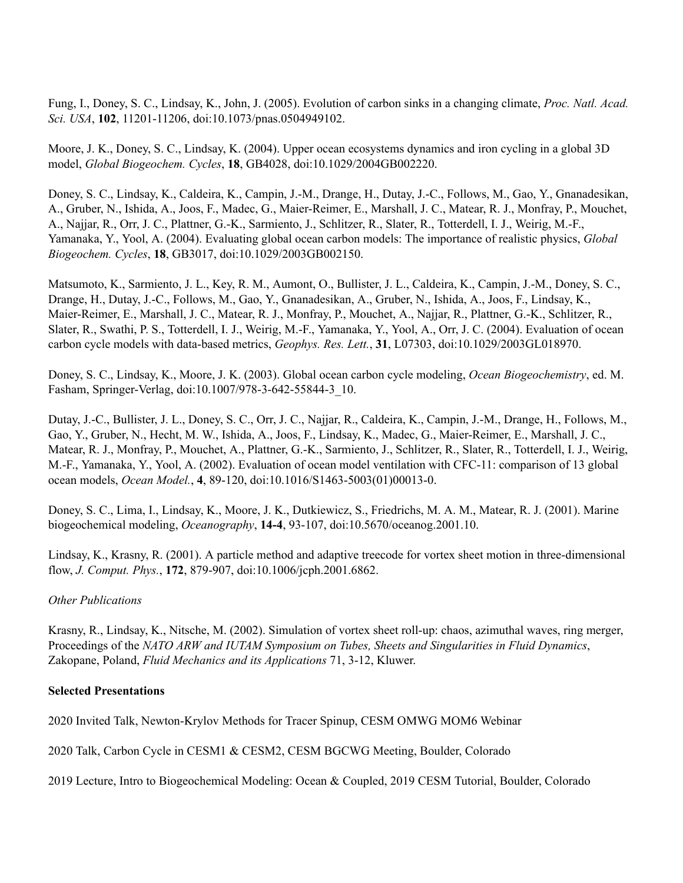Fung, I., Doney, S. C., Lindsay, K., John, J. (2005). Evolution of carbon sinks in a changing climate, *Proc. Natl. Acad. Sci. USA*, **102**, 11201-11206, doi:10.1073/pnas.0504949102.

Moore, J. K., Doney, S. C., Lindsay, K. (2004). Upper ocean ecosystems dynamics and iron cycling in a global 3D model, *Global Biogeochem. Cycles*, **18**, GB4028, doi:10.1029/2004GB002220.

Doney, S. C., Lindsay, K., Caldeira, K., Campin, J.-M., Drange, H., Dutay, J.-C., Follows, M., Gao, Y., Gnanadesikan, A., Gruber, N., Ishida, A., Joos, F., Madec, G., Maier-Reimer, E., Marshall, J. C., Matear, R. J., Monfray, P., Mouchet, A., Najjar, R., Orr, J. C., Plattner, G.-K., Sarmiento, J., Schlitzer, R., Slater, R., Totterdell, I. J., Weirig, M.-F., Yamanaka, Y., Yool, A. (2004). Evaluating global ocean carbon models: The importance of realistic physics, *Global Biogeochem. Cycles*, **18**, GB3017, doi:10.1029/2003GB002150.

Matsumoto, K., Sarmiento, J. L., Key, R. M., Aumont, O., Bullister, J. L., Caldeira, K., Campin, J.-M., Doney, S. C., Drange, H., Dutay, J.-C., Follows, M., Gao, Y., Gnanadesikan, A., Gruber, N., Ishida, A., Joos, F., Lindsay, K., Maier-Reimer, E., Marshall, J. C., Matear, R. J., Monfray, P., Mouchet, A., Najjar, R., Plattner, G.-K., Schlitzer, R., Slater, R., Swathi, P. S., Totterdell, I. J., Weirig, M.-F., Yamanaka, Y., Yool, A., Orr, J. C. (2004). Evaluation of ocean carbon cycle models with data-based metrics, *Geophys. Res. Lett.*, **31**, L07303, doi:10.1029/2003GL018970.

Doney, S. C., Lindsay, K., Moore, J. K. (2003). Global ocean carbon cycle modeling, *Ocean Biogeochemistry*, ed. M. Fasham, Springer-Verlag, doi:10.1007/978-3-642-55844-3\_10.

Dutay, J.-C., Bullister, J. L., Doney, S. C., Orr, J. C., Najjar, R., Caldeira, K., Campin, J.-M., Drange, H., Follows, M., Gao, Y., Gruber, N., Hecht, M. W., Ishida, A., Joos, F., Lindsay, K., Madec, G., Maier-Reimer, E., Marshall, J. C., Matear, R. J., Monfray, P., Mouchet, A., Plattner, G.-K., Sarmiento, J., Schlitzer, R., Slater, R., Totterdell, I. J., Weirig, M.-F., Yamanaka, Y., Yool, A. (2002). Evaluation of ocean model ventilation with CFC-11: comparison of 13 global ocean models, *Ocean Model.*, **4**, 89-120, doi:10.1016/S1463-5003(01)00013-0.

Doney, S. C., Lima, I., Lindsay, K., Moore, J. K., Dutkiewicz, S., Friedrichs, M. A. M., Matear, R. J. (2001). Marine biogeochemical modeling, *Oceanography*, **14-4**, 93-107, doi:10.5670/oceanog.2001.10.

Lindsay, K., Krasny, R. (2001). A particle method and adaptive treecode for vortex sheet motion in three-dimensional flow, *J. Comput. Phys.*, **172**, 879-907, doi:10.1006/jcph.2001.6862.

#### *Other Publications*

Krasny, R., Lindsay, K., Nitsche, M. (2002). Simulation of vortex sheet roll-up: chaos, azimuthal waves, ring merger, Proceedings of the *NATO ARW and IUTAM Symposium on Tubes, Sheets and Singularities in Fluid Dynamics*, Zakopane, Poland, *Fluid Mechanics and its Applications* 71, 3-12, Kluwer.

#### **Selected Presentations**

2020 Invited Talk, Newton-Krylov Methods for Tracer Spinup, CESM OMWG MOM6 Webinar

2020 Talk, Carbon Cycle in CESM1 & CESM2, CESM BGCWG Meeting, Boulder, Colorado

2019 Lecture, Intro to Biogeochemical Modeling: Ocean & Coupled, 2019 CESM Tutorial, Boulder, Colorado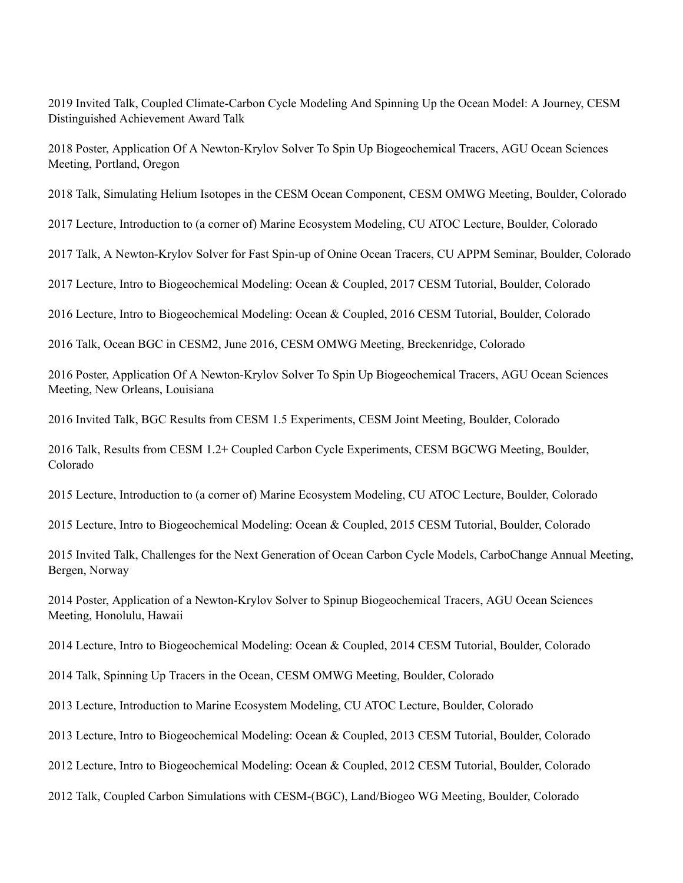Invited Talk, Coupled Climate-Carbon Cycle Modeling And Spinning Up the Ocean Model: A Journey, CESM Distinguished Achievement Award Talk

 Poster, Application Of A Newton-Krylov Solver To Spin Up Biogeochemical Tracers, AGU Ocean Sciences Meeting, Portland, Oregon

Talk, Simulating Helium Isotopes in the CESM Ocean Component, CESM OMWG Meeting, Boulder, Colorado

Lecture, Introduction to (a corner of) Marine Ecosystem Modeling, CU ATOC Lecture, Boulder, Colorado

Talk, A Newton-Krylov Solver for Fast Spin-up of Onine Ocean Tracers, CU APPM Seminar, Boulder, Colorado

Lecture, Intro to Biogeochemical Modeling: Ocean & Coupled, 2017 CESM Tutorial, Boulder, Colorado

Lecture, Intro to Biogeochemical Modeling: Ocean & Coupled, 2016 CESM Tutorial, Boulder, Colorado

Talk, Ocean BGC in CESM2, June 2016, CESM OMWG Meeting, Breckenridge, Colorado

 Poster, Application Of A Newton-Krylov Solver To Spin Up Biogeochemical Tracers, AGU Ocean Sciences Meeting, New Orleans, Louisiana

Invited Talk, BGC Results from CESM 1.5 Experiments, CESM Joint Meeting, Boulder, Colorado

 Talk, Results from CESM 1.2+ Coupled Carbon Cycle Experiments, CESM BGCWG Meeting, Boulder, Colorado

Lecture, Introduction to (a corner of) Marine Ecosystem Modeling, CU ATOC Lecture, Boulder, Colorado

Lecture, Intro to Biogeochemical Modeling: Ocean & Coupled, 2015 CESM Tutorial, Boulder, Colorado

 Invited Talk, Challenges for the Next Generation of Ocean Carbon Cycle Models, CarboChange Annual Meeting, Bergen, Norway

 Poster, Application of a Newton-Krylov Solver to Spinup Biogeochemical Tracers, AGU Ocean Sciences Meeting, Honolulu, Hawaii

Lecture, Intro to Biogeochemical Modeling: Ocean & Coupled, 2014 CESM Tutorial, Boulder, Colorado

Talk, Spinning Up Tracers in the Ocean, CESM OMWG Meeting, Boulder, Colorado

Lecture, Introduction to Marine Ecosystem Modeling, CU ATOC Lecture, Boulder, Colorado

Lecture, Intro to Biogeochemical Modeling: Ocean & Coupled, 2013 CESM Tutorial, Boulder, Colorado

Lecture, Intro to Biogeochemical Modeling: Ocean & Coupled, 2012 CESM Tutorial, Boulder, Colorado

Talk, Coupled Carbon Simulations with CESM-(BGC), Land/Biogeo WG Meeting, Boulder, Colorado